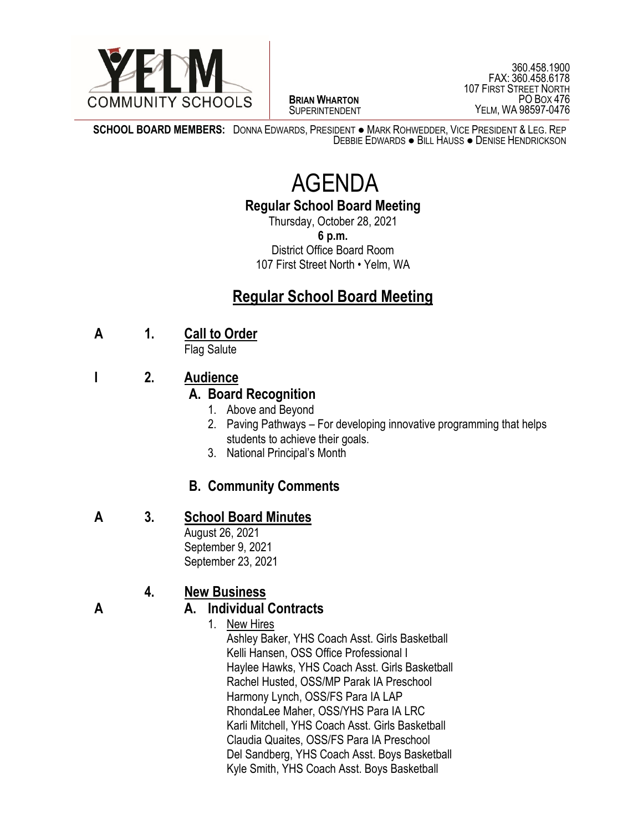

 $\overline{a}$ **BRIAN WHARTON** SUPERINTENDENT

360.458.1900 FAX: 360.458.6178 107 FIRST STREET NORTH PO BOX 476 YELM, WA 98597-0476

**SCHOOL BOARD MEMBERS:** DONNA EDWARDS, PRESIDENT ● MARK ROHWEDDER, VICE PRESIDENT & LEG. REP DEBBIE EDWARDS ● BILL HAUSS ● DENISE HENDRICKSON

# AGENDA

#### **Regular School Board Meeting**

Thursday, October 28, 2021 **6 p.m.** District Office Board Room 107 First Street North • Yelm, WA

## **Regular School Board Meeting**

#### **A 1. Call to Order**

Flag Salute

### **I 2. Audience**

#### **A. Board Recognition**

- 1. Above and Beyond
- 2. Paving Pathways For developing innovative programming that helps students to achieve their goals.
- 3. National Principal's Month

#### **B. Community Comments**

#### **A 3. School Board Minutes**

August 26, 2021 September 9, 2021 September 23, 2021

#### **4. New Business**

#### **A A. Individual Contracts**

1. New Hires

Ashley Baker, YHS Coach Asst. Girls Basketball Kelli Hansen, OSS Office Professional I Haylee Hawks, YHS Coach Asst. Girls Basketball Rachel Husted, OSS/MP Parak IA Preschool Harmony Lynch, OSS/FS Para IA LAP RhondaLee Maher, OSS/YHS Para IA LRC Karli Mitchell, YHS Coach Asst. Girls Basketball Claudia Quaites, OSS/FS Para IA Preschool Del Sandberg, YHS Coach Asst. Boys Basketball Kyle Smith, YHS Coach Asst. Boys Basketball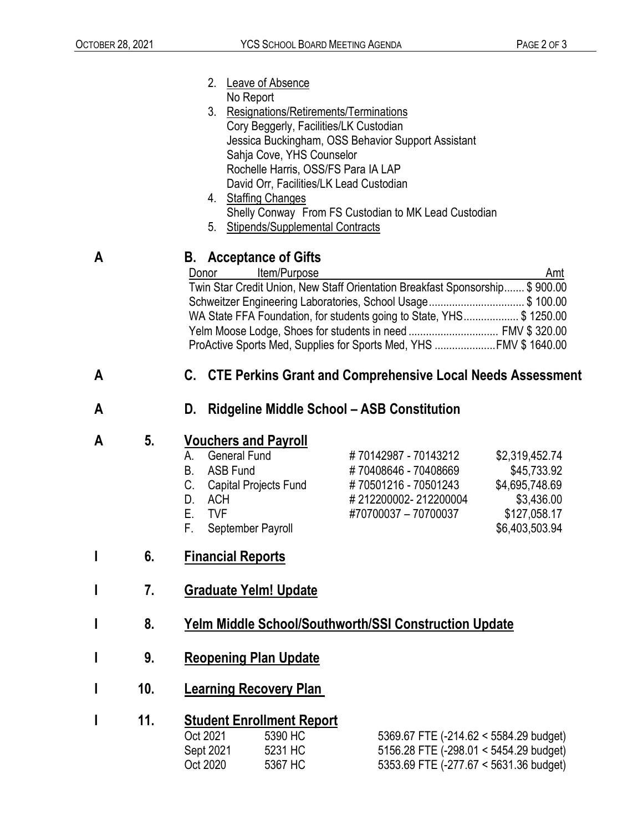|   |                                         | 2.<br>Leave of Absence                                                       |  |  |  |  |
|---|-----------------------------------------|------------------------------------------------------------------------------|--|--|--|--|
|   |                                         | No Report<br>3.<br>Resignations/Retirements/Terminations                     |  |  |  |  |
|   |                                         | Cory Beggerly, Facilities/LK Custodian                                       |  |  |  |  |
|   |                                         | Jessica Buckingham, OSS Behavior Support Assistant                           |  |  |  |  |
|   |                                         | Sahja Cove, YHS Counselor                                                    |  |  |  |  |
|   |                                         | Rochelle Harris, OSS/FS Para IA LAP                                          |  |  |  |  |
|   |                                         | David Orr, Facilities/LK Lead Custodian                                      |  |  |  |  |
|   |                                         | 4. Staffing Changes                                                          |  |  |  |  |
|   |                                         | Shelly Conway From FS Custodian to MK Lead Custodian                         |  |  |  |  |
|   |                                         | <b>Stipends/Supplemental Contracts</b><br>5.                                 |  |  |  |  |
| A | <b>B.</b> Acceptance of Gifts           |                                                                              |  |  |  |  |
|   |                                         | Item/Purpose<br>Amt<br>Donor                                                 |  |  |  |  |
|   |                                         | Twin Star Credit Union, New Staff Orientation Breakfast Sponsorship \$900.00 |  |  |  |  |
|   |                                         | Schweitzer Engineering Laboratories, School Usage\$ 100.00                   |  |  |  |  |
|   |                                         | WA State FFA Foundation, for students going to State, YHS\$ 1250.00          |  |  |  |  |
|   |                                         |                                                                              |  |  |  |  |
|   |                                         | ProActive Sports Med, Supplies for Sports Med, YHS FMV \$ 1640.00            |  |  |  |  |
| A |                                         | C. CTE Perkins Grant and Comprehensive Local Needs Assessment                |  |  |  |  |
| A |                                         | <b>Ridgeline Middle School - ASB Constitution</b><br>D.                      |  |  |  |  |
| A | 5.                                      | <b>Vouchers and Payroll</b>                                                  |  |  |  |  |
|   |                                         | <b>General Fund</b><br>#70142987 - 70143212<br>\$2,319,452.74<br>А.          |  |  |  |  |
|   |                                         | #70408646 - 70408669<br><b>ASB Fund</b><br>\$45,733.92<br>В.                 |  |  |  |  |
|   |                                         | \$4,695,748.69<br>C.<br>#70501216 - 70501243<br><b>Capital Projects Fund</b> |  |  |  |  |
|   |                                         | <b>ACH</b><br>#212200002-212200004<br>\$3,436.00<br>D.                       |  |  |  |  |
|   |                                         | Ε.<br>#70700037 - 70700037<br><b>TVF</b><br>\$127,058.17                     |  |  |  |  |
|   |                                         | F.<br>September Payroll<br>\$6,403,503.94                                    |  |  |  |  |
|   |                                         |                                                                              |  |  |  |  |
| I | 6.                                      | <b>Financial Reports</b>                                                     |  |  |  |  |
| I | 7.                                      | <b>Graduate Yelm! Update</b>                                                 |  |  |  |  |
|   |                                         |                                                                              |  |  |  |  |
|   | 8.                                      | Yelm Middle School/Southworth/SSI Construction Update                        |  |  |  |  |
| I | 9.                                      | <b>Reopening Plan Update</b>                                                 |  |  |  |  |
| I | 10.                                     | <b>Learning Recovery Plan</b>                                                |  |  |  |  |
|   |                                         |                                                                              |  |  |  |  |
| I | 11.<br><b>Student Enrollment Report</b> |                                                                              |  |  |  |  |
|   |                                         | Oct 2021<br>5390 HC<br>5369.67 FTE (-214.62 < 5584.29 budget)                |  |  |  |  |
|   |                                         | Sept 2021<br>5231 HC<br>5156.28 FTE (-298.01 < 5454.29 budget)               |  |  |  |  |

Oct 2020 5367 HC 5353.69 FTE (-277.67 < 5631.36 budget)